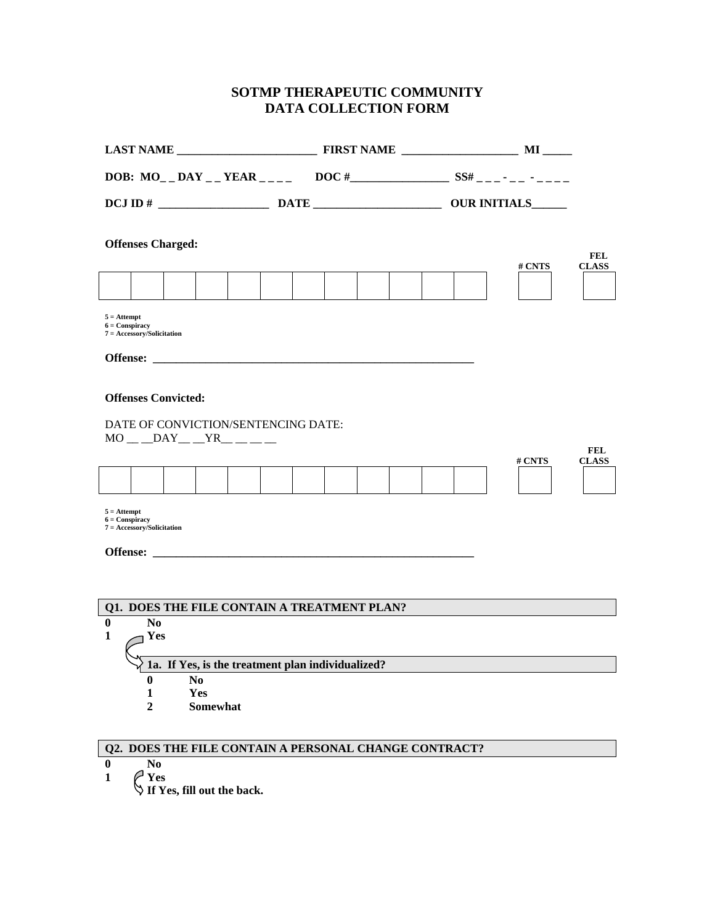## **SOTMP THERAPEUTIC COMMUNITY DATA COLLECTION FORM**

|                                                                                                     | <b>Offenses Charged:</b>                    |                 |  |  |  |  |  |  |  |  |  | # CNTS | <b>FEL</b><br><b>CLASS</b> |
|-----------------------------------------------------------------------------------------------------|---------------------------------------------|-----------------|--|--|--|--|--|--|--|--|--|--------|----------------------------|
|                                                                                                     |                                             |                 |  |  |  |  |  |  |  |  |  |        |                            |
| $5 =$ Attempt<br>$6 = \text{Conspiracy}$                                                            | $7 = Accessory/Solicitation$                |                 |  |  |  |  |  |  |  |  |  |        |                            |
|                                                                                                     |                                             |                 |  |  |  |  |  |  |  |  |  |        |                            |
| <b>Offenses Convicted:</b><br>DATE OF CONVICTION/SENTENCING DATE:<br>$MO$ <sub>__</sub> _DAY__YR___ |                                             |                 |  |  |  |  |  |  |  |  |  |        |                            |
|                                                                                                     |                                             |                 |  |  |  |  |  |  |  |  |  | # CNTS | <b>FEL</b><br><b>CLASS</b> |
|                                                                                                     |                                             |                 |  |  |  |  |  |  |  |  |  |        |                            |
| $5 =$ Attempt<br>$6 =$ Conspiracy                                                                   | $7 = Accessory/Solicitation$                |                 |  |  |  |  |  |  |  |  |  |        |                            |
|                                                                                                     |                                             |                 |  |  |  |  |  |  |  |  |  |        |                            |
|                                                                                                     |                                             |                 |  |  |  |  |  |  |  |  |  |        |                            |
|                                                                                                     | Q1. DOES THE FILE CONTAIN A TREATMENT PLAN? |                 |  |  |  |  |  |  |  |  |  |        |                            |
| $\bf{0}$                                                                                            | N <sub>0</sub>                              |                 |  |  |  |  |  |  |  |  |  |        |                            |
| 1                                                                                                   | Yes                                         |                 |  |  |  |  |  |  |  |  |  |        |                            |
| 1a. If Yes, is the treatment plan individualized?                                                   |                                             |                 |  |  |  |  |  |  |  |  |  |        |                            |
|                                                                                                     | 0                                           | N <sub>0</sub>  |  |  |  |  |  |  |  |  |  |        |                            |
|                                                                                                     | 1                                           | Yes             |  |  |  |  |  |  |  |  |  |        |                            |
|                                                                                                     | 2                                           | <b>Somewhat</b> |  |  |  |  |  |  |  |  |  |        |                            |
|                                                                                                     |                                             |                 |  |  |  |  |  |  |  |  |  |        |                            |

## **Q2. DOES THE FILE CONTAIN A PERSONAL CHANGE CONTRACT?**

**0 No**

**1 Yes** 

**If Yes, fill out the back.**